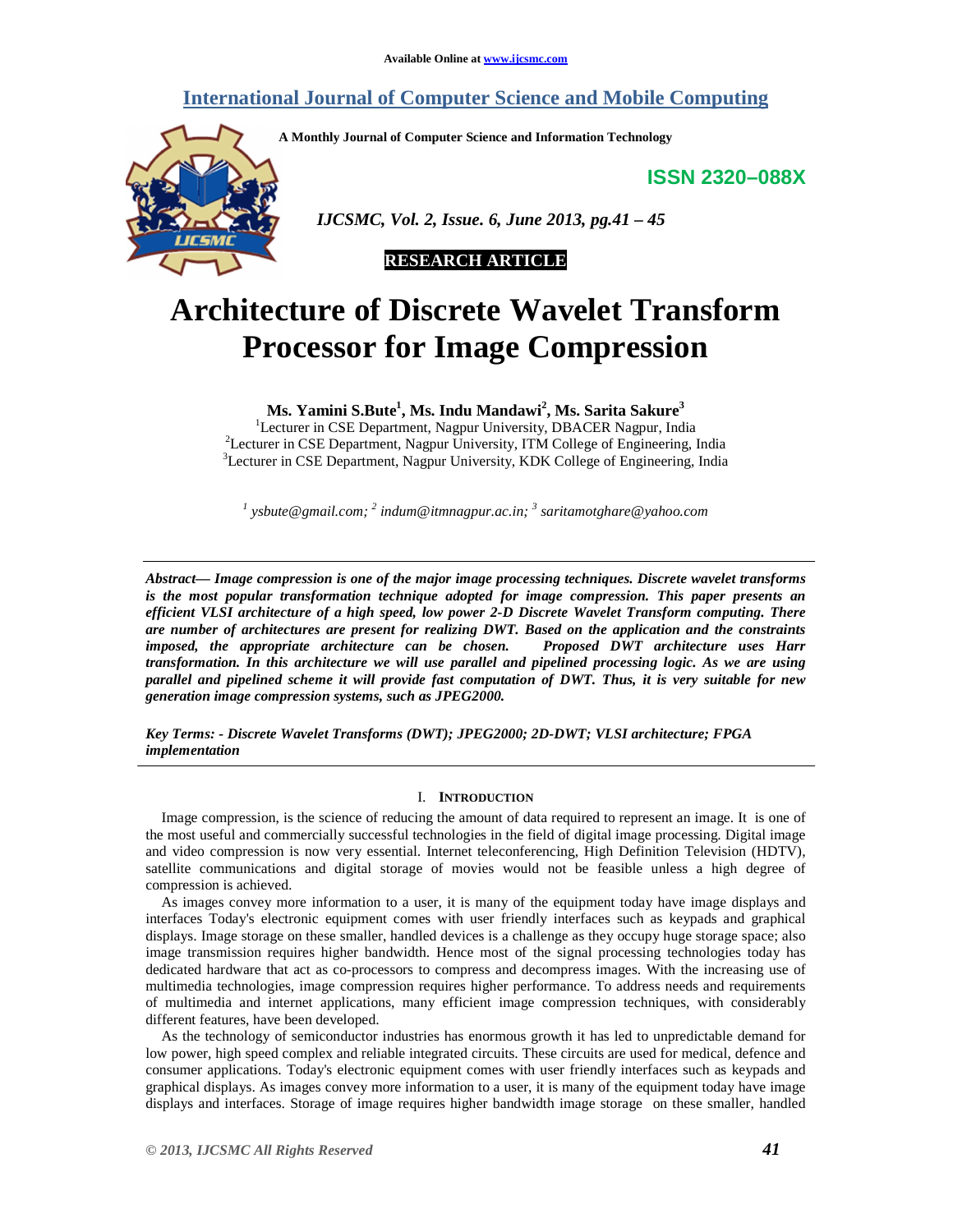# **International Journal of Computer Science and Mobile Computing**

**A Monthly Journal of Computer Science and Information Technology** 

**ISSN 2320–088X**



 *IJCSMC, Vol. 2, Issue. 6, June 2013, pg.41 – 45* 



# **Architecture of Discrete Wavelet Transform Processor for Image Compression**

**Ms. Yamini S.Bute<sup>1</sup> , Ms. Indu Mandawi<sup>2</sup> , Ms. Sarita Sakure<sup>3</sup>**

<sup>1</sup>Lecturer in CSE Department, Nagpur University, DBACER Nagpur, India <sup>2</sup>Lecturer in CSE Department, Nagpur University, ITM College of Engineering, India <sup>3</sup>Lecturer in CSE Department, Nagpur University, KDK College of Engineering, India

*1 ysbute@gmail.com; <sup>2</sup> indum@itmnagpur.ac.in; <sup>3</sup> saritamotghare@yahoo.com* 

*Abstract— Image compression is one of the major image processing techniques. Discrete wavelet transforms is the most popular transformation technique adopted for image compression. This paper presents an efficient VLSI architecture of a high speed, low power 2-D Discrete Wavelet Transform computing. There are number of architectures are present for realizing DWT. Based on the application and the constraints imposed, the appropriate architecture can be chosen. Proposed DWT architecture uses Harr transformation. In this architecture we will use parallel and pipelined processing logic. As we are using parallel and pipelined scheme it will provide fast computation of DWT. Thus, it is very suitable for new generation image compression systems, such as JPEG2000.* 

*Key Terms: - Discrete Wavelet Transforms (DWT); JPEG2000; 2D-DWT; VLSI architecture; FPGA implementation* 

#### I. **INTRODUCTION**

Image compression, is the science of reducing the amount of data required to represent an image. It is one of the most useful and commercially successful technologies in the field of digital image processing. Digital image and video compression is now very essential. Internet teleconferencing, High Definition Television (HDTV), satellite communications and digital storage of movies would not be feasible unless a high degree of compression is achieved.

As images convey more information to a user, it is many of the equipment today have image displays and interfaces Today's electronic equipment comes with user friendly interfaces such as keypads and graphical displays. Image storage on these smaller, handled devices is a challenge as they occupy huge storage space; also image transmission requires higher bandwidth. Hence most of the signal processing technologies today has dedicated hardware that act as co-processors to compress and decompress images. With the increasing use of multimedia technologies, image compression requires higher performance. To address needs and requirements of multimedia and internet applications, many efficient image compression techniques, with considerably different features, have been developed.

As the technology of semiconductor industries has enormous growth it has led to unpredictable demand for low power, high speed complex and reliable integrated circuits. These circuits are used for medical, defence and consumer applications. Today's electronic equipment comes with user friendly interfaces such as keypads and graphical displays. As images convey more information to a user, it is many of the equipment today have image displays and interfaces. Storage of image requires higher bandwidth image storage on these smaller, handled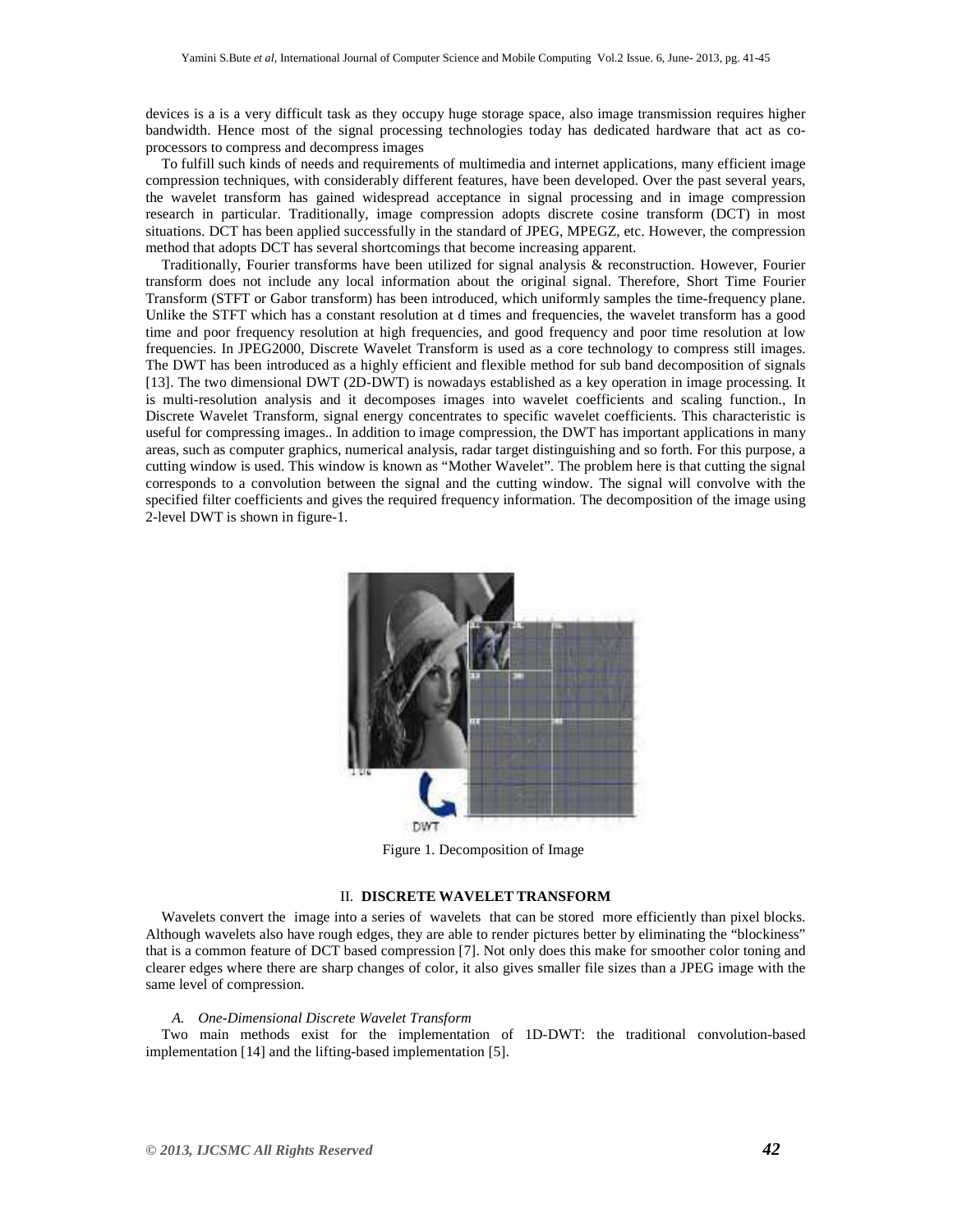devices is a is a very difficult task as they occupy huge storage space, also image transmission requires higher bandwidth. Hence most of the signal processing technologies today has dedicated hardware that act as coprocessors to compress and decompress images

To fulfill such kinds of needs and requirements of multimedia and internet applications, many efficient image compression techniques, with considerably different features, have been developed. Over the past several years, the wavelet transform has gained widespread acceptance in signal processing and in image compression research in particular. Traditionally, image compression adopts discrete cosine transform (DCT) in most situations. DCT has been applied successfully in the standard of JPEG, MPEGZ, etc. However, the compression method that adopts DCT has several shortcomings that become increasing apparent.

Traditionally, Fourier transforms have been utilized for signal analysis & reconstruction. However, Fourier transform does not include any local information about the original signal. Therefore, Short Time Fourier Transform (STFT or Gabor transform) has been introduced, which uniformly samples the time-frequency plane. Unlike the STFT which has a constant resolution at d times and frequencies, the wavelet transform has a good time and poor frequency resolution at high frequencies, and good frequency and poor time resolution at low frequencies. In JPEG2000, Discrete Wavelet Transform is used as a core technology to compress still images. The DWT has been introduced as a highly efficient and flexible method for sub band decomposition of signals [13]. The two dimensional DWT (2D-DWT) is nowadays established as a key operation in image processing. It is multi-resolution analysis and it decomposes images into wavelet coefficients and scaling function., In Discrete Wavelet Transform, signal energy concentrates to specific wavelet coefficients. This characteristic is useful for compressing images.. In addition to image compression, the DWT has important applications in many areas, such as computer graphics, numerical analysis, radar target distinguishing and so forth. For this purpose, a cutting window is used. This window is known as "Mother Wavelet". The problem here is that cutting the signal corresponds to a convolution between the signal and the cutting window. The signal will convolve with the specified filter coefficients and gives the required frequency information. The decomposition of the image using 2-level DWT is shown in figure-1.



Figure 1. Decomposition of Image

## II. **DISCRETE WAVELET TRANSFORM**

Wavelets convert the image into a series of wavelets that can be stored more efficiently than pixel blocks. Although wavelets also have rough edges, they are able to render pictures better by eliminating the "blockiness" that is a common feature of DCT based compression [7]. Not only does this make for smoother color toning and clearer edges where there are sharp changes of color, it also gives smaller file sizes than a JPEG image with the same level of compression.

#### *A. One-Dimensional Discrete Wavelet Transform*

Two main methods exist for the implementation of 1D-DWT: the traditional convolution-based implementation [14] and the lifting-based implementation [5].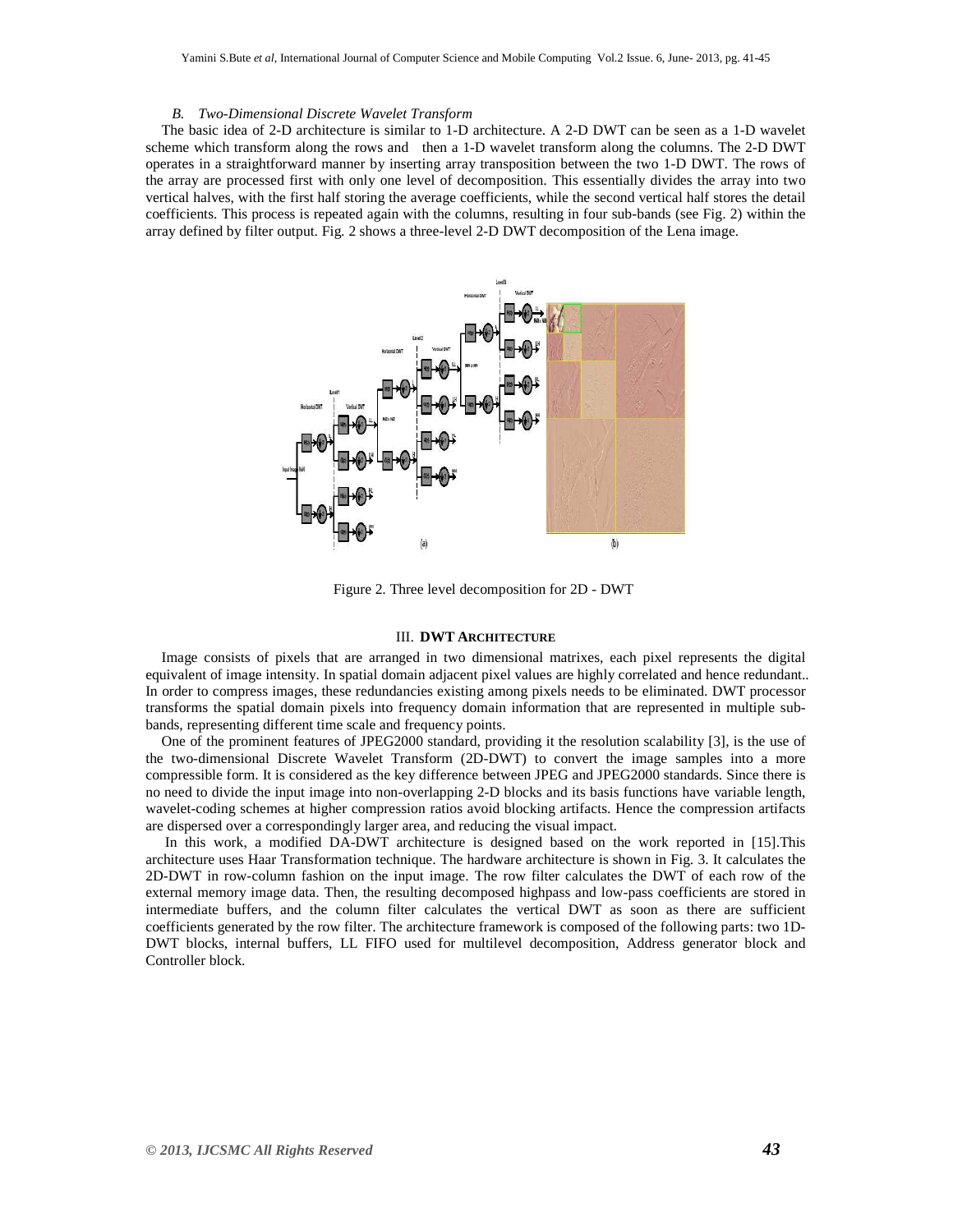#### *B. Two-Dimensional Discrete Wavelet Transform*

The basic idea of 2-D architecture is similar to 1-D architecture. A 2-D DWT can be seen as a 1-D wavelet scheme which transform along the rows and then a 1-D wavelet transform along the columns. The 2-D DWT operates in a straightforward manner by inserting array transposition between the two 1-D DWT. The rows of the array are processed first with only one level of decomposition. This essentially divides the array into two vertical halves, with the first half storing the average coefficients, while the second vertical half stores the detail coefficients. This process is repeated again with the columns, resulting in four sub-bands (see Fig. 2) within the array defined by filter output. Fig. 2 shows a three-level 2-D DWT decomposition of the Lena image.



Figure 2. Three level decomposition for 2D - DWT

#### III. **DWT ARCHITECTURE**

Image consists of pixels that are arranged in two dimensional matrixes, each pixel represents the digital equivalent of image intensity. In spatial domain adjacent pixel values are highly correlated and hence redundant.. In order to compress images, these redundancies existing among pixels needs to be eliminated. DWT processor transforms the spatial domain pixels into frequency domain information that are represented in multiple subbands, representing different time scale and frequency points.

One of the prominent features of JPEG2000 standard, providing it the resolution scalability [3], is the use of the two-dimensional Discrete Wavelet Transform (2D-DWT) to convert the image samples into a more compressible form. It is considered as the key difference between JPEG and JPEG2000 standards. Since there is no need to divide the input image into non-overlapping 2-D blocks and its basis functions have variable length, wavelet-coding schemes at higher compression ratios avoid blocking artifacts. Hence the compression artifacts are dispersed over a correspondingly larger area, and reducing the visual impact.

 In this work, a modified DA-DWT architecture is designed based on the work reported in [15].This architecture uses Haar Transformation technique. The hardware architecture is shown in Fig. 3. It calculates the 2D-DWT in row-column fashion on the input image. The row filter calculates the DWT of each row of the external memory image data. Then, the resulting decomposed highpass and low-pass coefficients are stored in intermediate buffers, and the column filter calculates the vertical DWT as soon as there are sufficient coefficients generated by the row filter. The architecture framework is composed of the following parts: two 1D-DWT blocks, internal buffers, LL FIFO used for multilevel decomposition, Address generator block and Controller block.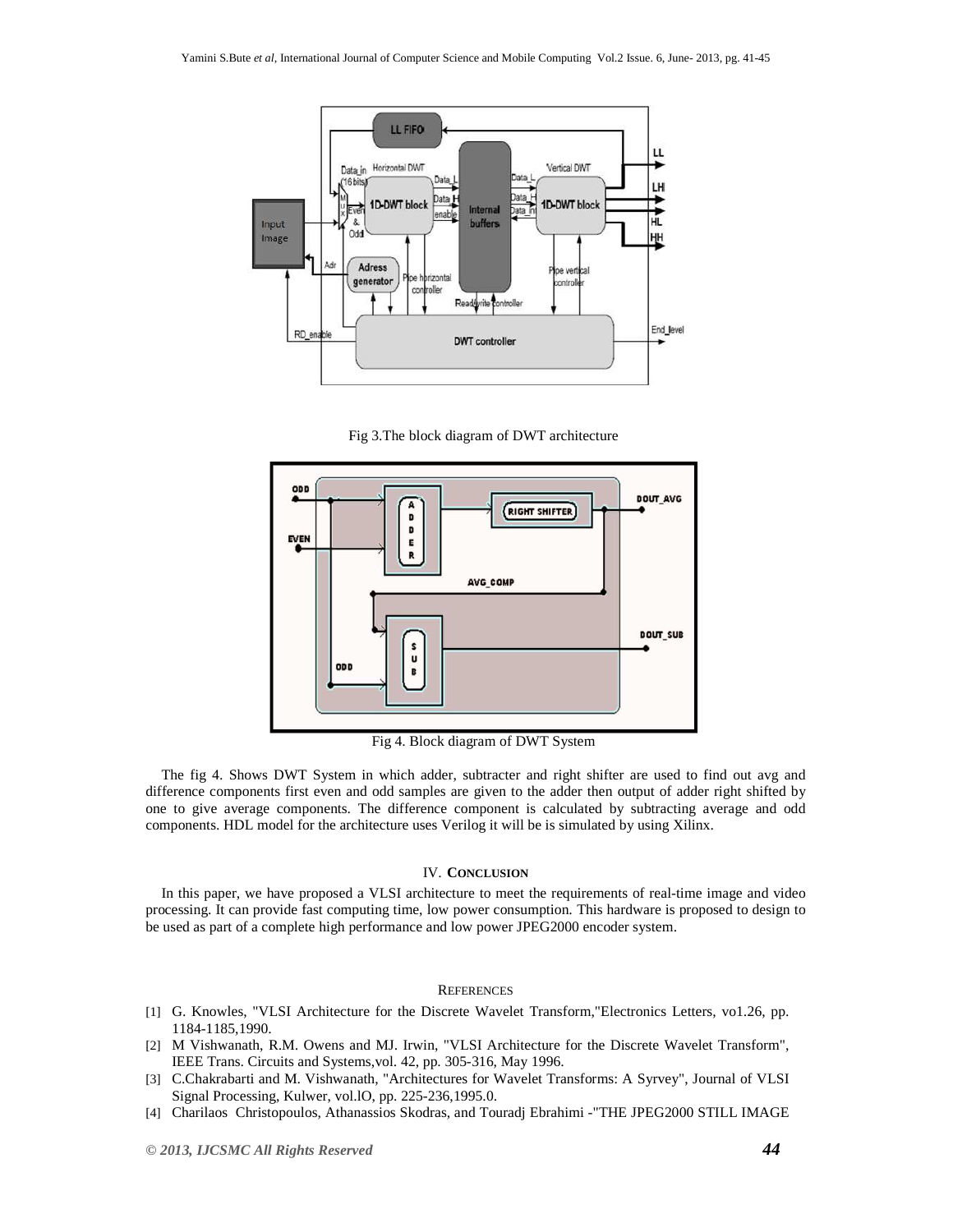

Fig 3.The block diagram of DWT architecture



Fig 4. Block diagram of DWT System

The fig 4. Shows DWT System in which adder, subtracter and right shifter are used to find out avg and difference components first even and odd samples are given to the adder then output of adder right shifted by one to give average components. The difference component is calculated by subtracting average and odd components. HDL model for the architecture uses Verilog it will be is simulated by using Xilinx.

### IV. **CONCLUSION**

In this paper, we have proposed a VLSI architecture to meet the requirements of real-time image and video processing. It can provide fast computing time, low power consumption. This hardware is proposed to design to be used as part of a complete high performance and low power JPEG2000 encoder system.

#### **REFERENCES**

- [1] G. Knowles, "VLSI Architecture for the Discrete Wavelet Transform,"Electronics Letters, vo1.26, pp. 1184-1185,1990.
- [2] M Vishwanath, R.M. Owens and MJ. Irwin, "VLSI Architecture for the Discrete Wavelet Transform", IEEE Trans. Circuits and Systems,vol. 42, pp. 305-316, May 1996.
- [3] C.Chakrabarti and M. Vishwanath, "Architectures for Wavelet Transforms: A Syrvey", Journal of VLSI Signal Processing, Kulwer, vol.lO, pp. 225-236,1995.0.
- [4] Charilaos Christopoulos, Athanassios Skodras, and Touradj Ebrahimi -"THE JPEG2000 STILL IMAGE